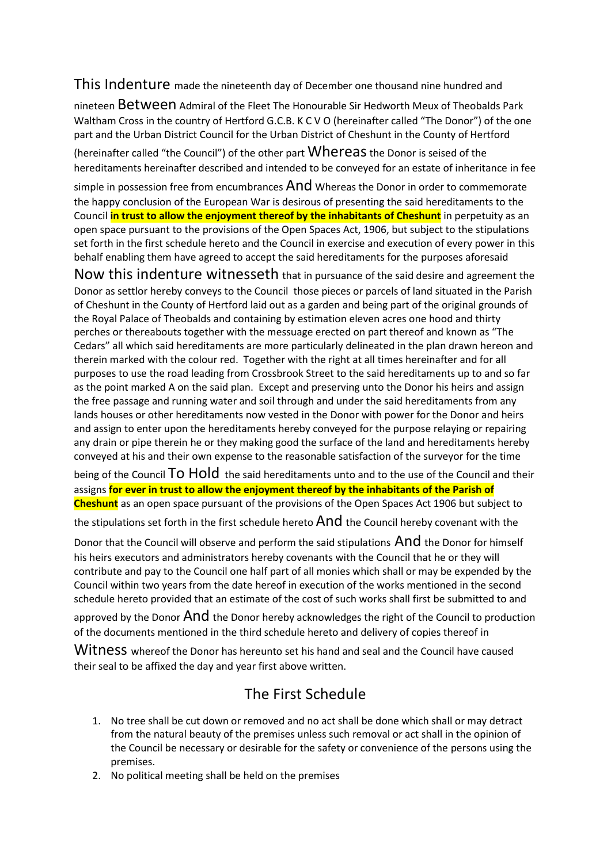This Indenture made the nineteenth day of December one thousand nine hundred and

nineteen Between Admiral of the Fleet The Honourable Sir Hedworth Meux of Theobalds Park Waltham Cross in the country of Hertford G.C.B. K C V O (hereinafter called "The Donor") of the one part and the Urban District Council for the Urban District of Cheshunt in the County of Hertford

(hereinafter called "the Council") of the other part  $Where$  the Donor is seised of the hereditaments hereinafter described and intended to be conveyed for an estate of inheritance in fee

simple in possession free from encumbrances  $And$  Whereas the Donor in order to commemorate the happy conclusion of the European War is desirous of presenting the said hereditaments to the Council **in trust to allow the enjoyment thereof by the inhabitants of Cheshunt** in perpetuity as an open space pursuant to the provisions of the Open Spaces Act, 1906, but subject to the stipulations set forth in the first schedule hereto and the Council in exercise and execution of every power in this behalf enabling them have agreed to accept the said hereditaments for the purposes aforesaid

Now this indenture witnesseth that in pursuance of the said desire and agreement the Donor as settlor hereby conveys to the Council those pieces or parcels of land situated in the Parish of Cheshunt in the County of Hertford laid out as a garden and being part of the original grounds of the Royal Palace of Theobalds and containing by estimation eleven acres one hood and thirty perches or thereabouts together with the messuage erected on part thereof and known as "The Cedars" all which said hereditaments are more particularly delineated in the plan drawn hereon and therein marked with the colour red. Together with the right at all times hereinafter and for all purposes to use the road leading from Crossbrook Street to the said hereditaments up to and so far as the point marked A on the said plan. Except and preserving unto the Donor his heirs and assign the free passage and running water and soil through and under the said hereditaments from any lands houses or other hereditaments now vested in the Donor with power for the Donor and heirs and assign to enter upon the hereditaments hereby conveyed for the purpose relaying or repairing any drain or pipe therein he or they making good the surface of the land and hereditaments hereby conveyed at his and their own expense to the reasonable satisfaction of the surveyor for the time

being of the Council TO HOld the said hereditaments unto and to the use of the Council and their assigns **for ever in trust to allow the enjoyment thereof by the inhabitants of the Parish of Cheshunt** as an open space pursuant of the provisions of the Open Spaces Act 1906 but subject to

the stipulations set forth in the first schedule hereto  $And$  the Council hereby covenant with the

Donor that the Council will observe and perform the said stipulations And the Donor for himself his heirs executors and administrators hereby covenants with the Council that he or they will contribute and pay to the Council one half part of all monies which shall or may be expended by the Council within two years from the date hereof in execution of the works mentioned in the second schedule hereto provided that an estimate of the cost of such works shall first be submitted to and

approved by the Donor  $And$  the Donor hereby acknowledges the right of the Council to production of the documents mentioned in the third schedule hereto and delivery of copies thereof in

Witness whereof the Donor has hereunto set his hand and seal and the Council have caused their seal to be affixed the day and year first above written.

## The First Schedule

- 1. No tree shall be cut down or removed and no act shall be done which shall or may detract from the natural beauty of the premises unless such removal or act shall in the opinion of the Council be necessary or desirable for the safety or convenience of the persons using the premises.
- 2. No political meeting shall be held on the premises